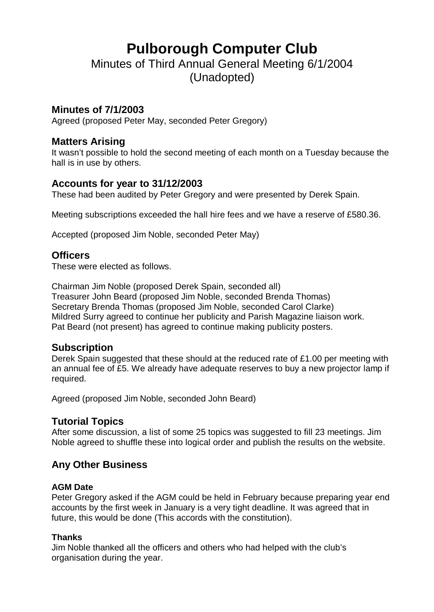# **Pulborough Computer Club**

Minutes of Third Annual General Meeting 6/1/2004 (Unadopted)

#### **Minutes of 7/1/2003**

Agreed (proposed Peter May, seconded Peter Gregory)

#### **Matters Arising**

It wasn't possible to hold the second meeting of each month on a Tuesday because the hall is in use by others.

## **Accounts for year to 31/12/2003**

These had been audited by Peter Gregory and were presented by Derek Spain.

Meeting subscriptions exceeded the hall hire fees and we have a reserve of £580.36.

Accepted (proposed Jim Noble, seconded Peter May)

#### **Officers**

These were elected as follows.

Chairman Jim Noble (proposed Derek Spain, seconded all) Treasurer John Beard (proposed Jim Noble, seconded Brenda Thomas) Secretary Brenda Thomas (proposed Jim Noble, seconded Carol Clarke) Mildred Surry agreed to continue her publicity and Parish Magazine liaison work. Pat Beard (not present) has agreed to continue making publicity posters.

## **Subscription**

Derek Spain suggested that these should at the reduced rate of £1.00 per meeting with an annual fee of £5. We already have adequate reserves to buy a new projector lamp if required.

Agreed (proposed Jim Noble, seconded John Beard)

## **Tutorial Topics**

After some discussion, a list of some 25 topics was suggested to fill 23 meetings. Jim Noble agreed to shuffle these into logical order and publish the results on the website.

## **Any Other Business**

#### **AGM Date**

Peter Gregory asked if the AGM could be held in February because preparing year end accounts by the first week in January is a very tight deadline. It was agreed that in future, this would be done (This accords with the constitution).

#### **Thanks**

Jim Noble thanked all the officers and others who had helped with the club's organisation during the year.